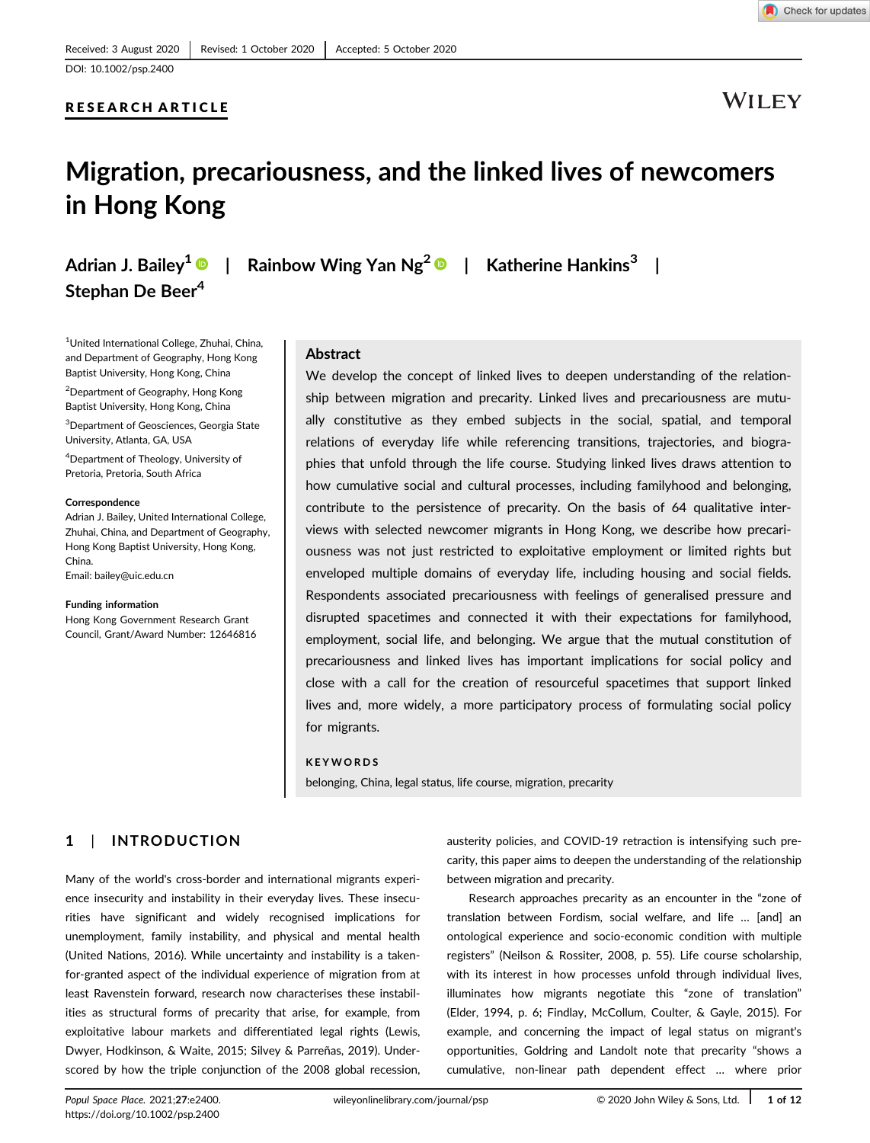### RESEARCH ARTICLE



**WILEY** 

# Migration, precariousness, and the linked lives of newcomers in Hong Kong

Stephan De Beer<sup>4</sup>

Adrian J. Bailey<sup>1</sup>  $\bullet$  | Rainbow Wing Yan Ng<sup>2</sup>  $\bullet$  | Katherine Hankins<sup>3</sup> |

1 United International College, Zhuhai, China, and Department of Geography, Hong Kong Baptist University, Hong Kong, China

<sup>2</sup>Department of Geography, Hong Kong Baptist University, Hong Kong, China

3 Department of Geosciences, Georgia State University, Atlanta, GA, USA

4 Department of Theology, University of Pretoria, Pretoria, South Africa

#### Correspondence

Adrian J. Bailey, United International College, Zhuhai, China, and Department of Geography, Hong Kong Baptist University, Hong Kong, China.

Email: bailey@uic.edu.cn

#### Funding information

Hong Kong Government Research Grant Council, Grant/Award Number: 12646816

#### Abstract

We develop the concept of linked lives to deepen understanding of the relationship between migration and precarity. Linked lives and precariousness are mutually constitutive as they embed subjects in the social, spatial, and temporal relations of everyday life while referencing transitions, trajectories, and biographies that unfold through the life course. Studying linked lives draws attention to how cumulative social and cultural processes, including familyhood and belonging, contribute to the persistence of precarity. On the basis of 64 qualitative interviews with selected newcomer migrants in Hong Kong, we describe how precariousness was not just restricted to exploitative employment or limited rights but enveloped multiple domains of everyday life, including housing and social fields. Respondents associated precariousness with feelings of generalised pressure and disrupted spacetimes and connected it with their expectations for familyhood, employment, social life, and belonging. We argue that the mutual constitution of precariousness and linked lives has important implications for social policy and close with a call for the creation of resourceful spacetimes that support linked lives and, more widely, a more participatory process of formulating social policy for migrants.

#### KEYWORDS

belonging, China, legal status, life course, migration, precarity

### 1 | INTRODUCTION

Many of the world's cross-border and international migrants experience insecurity and instability in their everyday lives. These insecurities have significant and widely recognised implications for unemployment, family instability, and physical and mental health (United Nations, 2016). While uncertainty and instability is a takenfor-granted aspect of the individual experience of migration from at least Ravenstein forward, research now characterises these instabilities as structural forms of precarity that arise, for example, from exploitative labour markets and differentiated legal rights (Lewis, Dwyer, Hodkinson, & Waite, 2015; Silvey & Parreñas, 2019). Underscored by how the triple conjunction of the 2008 global recession,

austerity policies, and COVID-19 retraction is intensifying such precarity, this paper aims to deepen the understanding of the relationship between migration and precarity.

Research approaches precarity as an encounter in the "zone of translation between Fordism, social welfare, and life … [and] an ontological experience and socio-economic condition with multiple registers" (Neilson & Rossiter, 2008, p. 55). Life course scholarship, with its interest in how processes unfold through individual lives, illuminates how migrants negotiate this "zone of translation" (Elder, 1994, p. 6; Findlay, McCollum, Coulter, & Gayle, 2015). For example, and concerning the impact of legal status on migrant's opportunities, Goldring and Landolt note that precarity "shows a cumulative, non-linear path dependent effect … where prior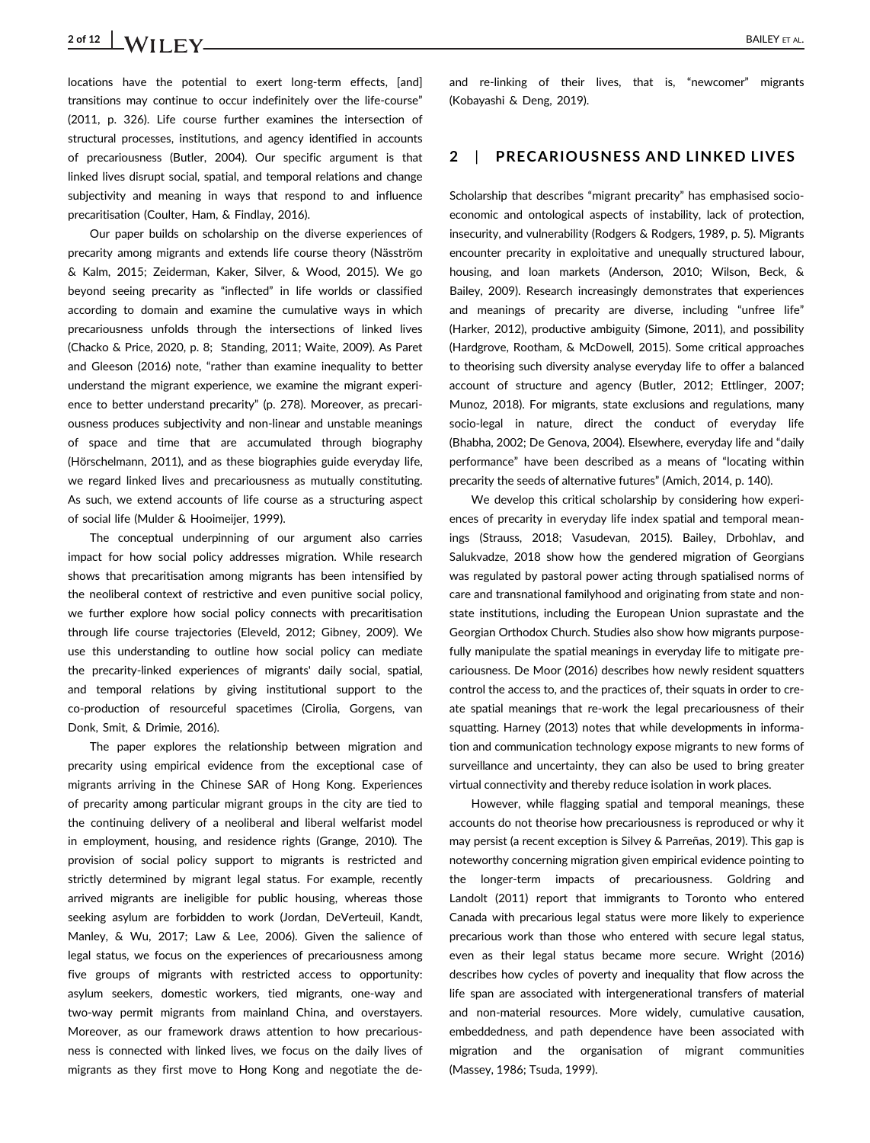## 2 of 12 BAILEY ET AL.

locations have the potential to exert long-term effects, [and] transitions may continue to occur indefinitely over the life-course" (2011, p. 326). Life course further examines the intersection of structural processes, institutions, and agency identified in accounts of precariousness (Butler, 2004). Our specific argument is that linked lives disrupt social, spatial, and temporal relations and change subjectivity and meaning in ways that respond to and influence precaritisation (Coulter, Ham, & Findlay, 2016).

Our paper builds on scholarship on the diverse experiences of precarity among migrants and extends life course theory (Näsström & Kalm, 2015; Zeiderman, Kaker, Silver, & Wood, 2015). We go beyond seeing precarity as "inflected" in life worlds or classified according to domain and examine the cumulative ways in which precariousness unfolds through the intersections of linked lives (Chacko & Price, 2020, p. 8; Standing, 2011; Waite, 2009). As Paret and Gleeson (2016) note, "rather than examine inequality to better understand the migrant experience, we examine the migrant experience to better understand precarity" (p. 278). Moreover, as precariousness produces subjectivity and non-linear and unstable meanings of space and time that are accumulated through biography (Hörschelmann, 2011), and as these biographies guide everyday life, we regard linked lives and precariousness as mutually constituting. As such, we extend accounts of life course as a structuring aspect of social life (Mulder & Hooimeijer, 1999).

The conceptual underpinning of our argument also carries impact for how social policy addresses migration. While research shows that precaritisation among migrants has been intensified by the neoliberal context of restrictive and even punitive social policy, we further explore how social policy connects with precaritisation through life course trajectories (Eleveld, 2012; Gibney, 2009). We use this understanding to outline how social policy can mediate the precarity-linked experiences of migrants' daily social, spatial, and temporal relations by giving institutional support to the co-production of resourceful spacetimes (Cirolia, Gorgens, van Donk, Smit, & Drimie, 2016).

The paper explores the relationship between migration and precarity using empirical evidence from the exceptional case of migrants arriving in the Chinese SAR of Hong Kong. Experiences of precarity among particular migrant groups in the city are tied to the continuing delivery of a neoliberal and liberal welfarist model in employment, housing, and residence rights (Grange, 2010). The provision of social policy support to migrants is restricted and strictly determined by migrant legal status. For example, recently arrived migrants are ineligible for public housing, whereas those seeking asylum are forbidden to work (Jordan, DeVerteuil, Kandt, Manley, & Wu, 2017; Law & Lee, 2006). Given the salience of legal status, we focus on the experiences of precariousness among five groups of migrants with restricted access to opportunity: asylum seekers, domestic workers, tied migrants, one-way and two-way permit migrants from mainland China, and overstayers. Moreover, as our framework draws attention to how precariousness is connected with linked lives, we focus on the daily lives of migrants as they first move to Hong Kong and negotiate the deand re-linking of their lives, that is, "newcomer" migrants (Kobayashi & Deng, 2019).

### 2 | PRECARIOUSNESS AND LINKED LIVES

Scholarship that describes "migrant precarity" has emphasised socioeconomic and ontological aspects of instability, lack of protection, insecurity, and vulnerability (Rodgers & Rodgers, 1989, p. 5). Migrants encounter precarity in exploitative and unequally structured labour, housing, and loan markets (Anderson, 2010; Wilson, Beck, & Bailey, 2009). Research increasingly demonstrates that experiences and meanings of precarity are diverse, including "unfree life" (Harker, 2012), productive ambiguity (Simone, 2011), and possibility (Hardgrove, Rootham, & McDowell, 2015). Some critical approaches to theorising such diversity analyse everyday life to offer a balanced account of structure and agency (Butler, 2012; Ettlinger, 2007; Munoz, 2018). For migrants, state exclusions and regulations, many socio-legal in nature, direct the conduct of everyday life (Bhabha, 2002; De Genova, 2004). Elsewhere, everyday life and "daily performance" have been described as a means of "locating within precarity the seeds of alternative futures" (Amich, 2014, p. 140).

We develop this critical scholarship by considering how experiences of precarity in everyday life index spatial and temporal meanings (Strauss, 2018; Vasudevan, 2015). Bailey, Drbohlav, and Salukvadze, 2018 show how the gendered migration of Georgians was regulated by pastoral power acting through spatialised norms of care and transnational familyhood and originating from state and nonstate institutions, including the European Union suprastate and the Georgian Orthodox Church. Studies also show how migrants purposefully manipulate the spatial meanings in everyday life to mitigate precariousness. De Moor (2016) describes how newly resident squatters control the access to, and the practices of, their squats in order to create spatial meanings that re-work the legal precariousness of their squatting. Harney (2013) notes that while developments in information and communication technology expose migrants to new forms of surveillance and uncertainty, they can also be used to bring greater virtual connectivity and thereby reduce isolation in work places.

However, while flagging spatial and temporal meanings, these accounts do not theorise how precariousness is reproduced or why it may persist (a recent exception is Silvey & Parreñas, 2019). This gap is noteworthy concerning migration given empirical evidence pointing to the longer-term impacts of precariousness. Goldring and Landolt (2011) report that immigrants to Toronto who entered Canada with precarious legal status were more likely to experience precarious work than those who entered with secure legal status, even as their legal status became more secure. Wright (2016) describes how cycles of poverty and inequality that flow across the life span are associated with intergenerational transfers of material and non-material resources. More widely, cumulative causation, embeddedness, and path dependence have been associated with migration and the organisation of migrant communities (Massey, 1986; Tsuda, 1999).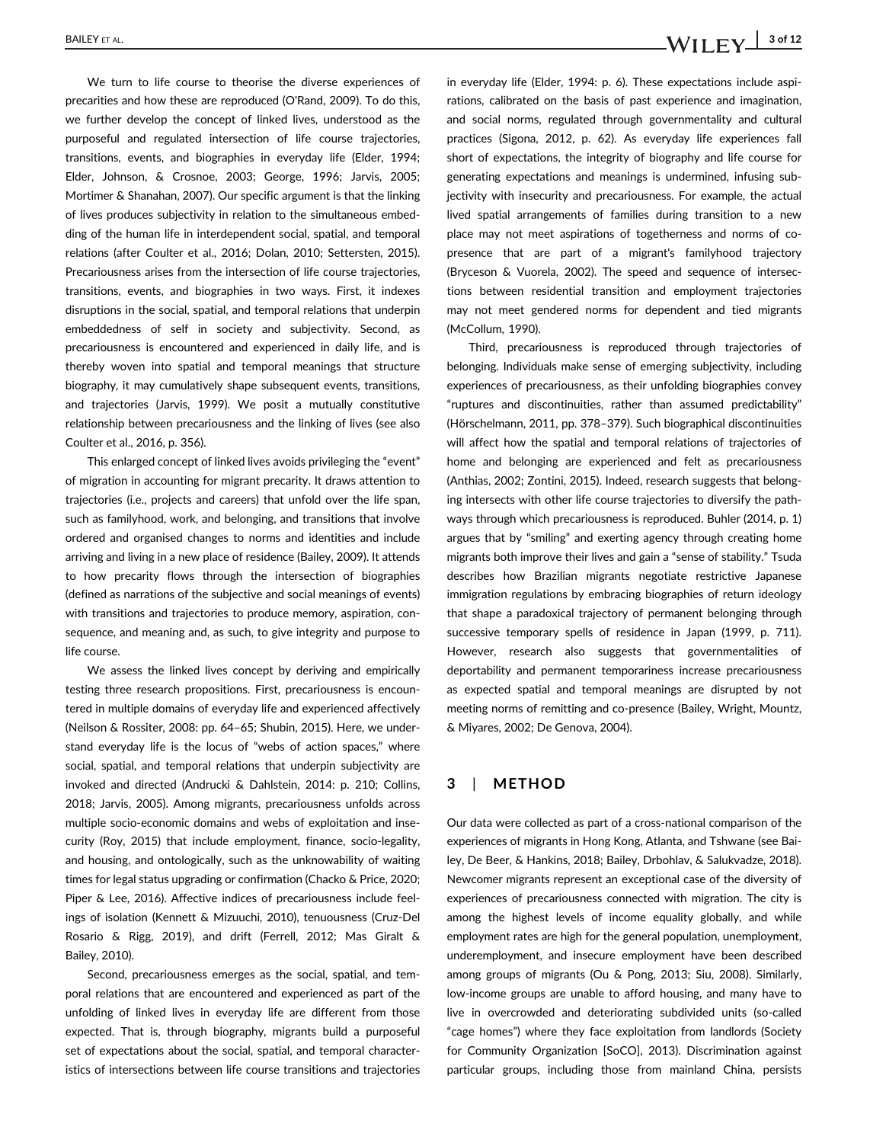We turn to life course to theorise the diverse experiences of precarities and how these are reproduced (O'Rand, 2009). To do this, we further develop the concept of linked lives, understood as the purposeful and regulated intersection of life course trajectories, transitions, events, and biographies in everyday life (Elder, 1994; Elder, Johnson, & Crosnoe, 2003; George, 1996; Jarvis, 2005; Mortimer & Shanahan, 2007). Our specific argument is that the linking of lives produces subjectivity in relation to the simultaneous embedding of the human life in interdependent social, spatial, and temporal relations (after Coulter et al., 2016; Dolan, 2010; Settersten, 2015). Precariousness arises from the intersection of life course trajectories, transitions, events, and biographies in two ways. First, it indexes disruptions in the social, spatial, and temporal relations that underpin embeddedness of self in society and subjectivity. Second, as precariousness is encountered and experienced in daily life, and is thereby woven into spatial and temporal meanings that structure biography, it may cumulatively shape subsequent events, transitions, and trajectories (Jarvis, 1999). We posit a mutually constitutive relationship between precariousness and the linking of lives (see also Coulter et al., 2016, p. 356).

This enlarged concept of linked lives avoids privileging the "event" of migration in accounting for migrant precarity. It draws attention to trajectories (i.e., projects and careers) that unfold over the life span, such as familyhood, work, and belonging, and transitions that involve ordered and organised changes to norms and identities and include arriving and living in a new place of residence (Bailey, 2009). It attends to how precarity flows through the intersection of biographies (defined as narrations of the subjective and social meanings of events) with transitions and trajectories to produce memory, aspiration, consequence, and meaning and, as such, to give integrity and purpose to life course.

We assess the linked lives concept by deriving and empirically testing three research propositions. First, precariousness is encountered in multiple domains of everyday life and experienced affectively (Neilson & Rossiter, 2008: pp. 64–65; Shubin, 2015). Here, we understand everyday life is the locus of "webs of action spaces," where social, spatial, and temporal relations that underpin subjectivity are invoked and directed (Andrucki & Dahlstein, 2014: p. 210; Collins, 2018; Jarvis, 2005). Among migrants, precariousness unfolds across multiple socio-economic domains and webs of exploitation and insecurity (Roy, 2015) that include employment, finance, socio-legality, and housing, and ontologically, such as the unknowability of waiting times for legal status upgrading or confirmation (Chacko & Price, 2020; Piper & Lee, 2016). Affective indices of precariousness include feelings of isolation (Kennett & Mizuuchi, 2010), tenuousness (Cruz-Del Rosario & Rigg, 2019), and drift (Ferrell, 2012; Mas Giralt & Bailey, 2010).

Second, precariousness emerges as the social, spatial, and temporal relations that are encountered and experienced as part of the unfolding of linked lives in everyday life are different from those expected. That is, through biography, migrants build a purposeful set of expectations about the social, spatial, and temporal characteristics of intersections between life course transitions and trajectories in everyday life (Elder, 1994: p. 6). These expectations include aspirations, calibrated on the basis of past experience and imagination, and social norms, regulated through governmentality and cultural practices (Sigona, 2012, p. 62). As everyday life experiences fall short of expectations, the integrity of biography and life course for generating expectations and meanings is undermined, infusing subjectivity with insecurity and precariousness. For example, the actual lived spatial arrangements of families during transition to a new place may not meet aspirations of togetherness and norms of copresence that are part of a migrant's familyhood trajectory (Bryceson & Vuorela, 2002). The speed and sequence of intersections between residential transition and employment trajectories may not meet gendered norms for dependent and tied migrants (McCollum, 1990).

Third, precariousness is reproduced through trajectories of belonging. Individuals make sense of emerging subjectivity, including experiences of precariousness, as their unfolding biographies convey "ruptures and discontinuities, rather than assumed predictability" (Hörschelmann, 2011, pp. 378–379). Such biographical discontinuities will affect how the spatial and temporal relations of trajectories of home and belonging are experienced and felt as precariousness (Anthias, 2002; Zontini, 2015). Indeed, research suggests that belonging intersects with other life course trajectories to diversify the pathways through which precariousness is reproduced. Buhler (2014, p. 1) argues that by "smiling" and exerting agency through creating home migrants both improve their lives and gain a "sense of stability." Tsuda describes how Brazilian migrants negotiate restrictive Japanese immigration regulations by embracing biographies of return ideology that shape a paradoxical trajectory of permanent belonging through successive temporary spells of residence in Japan (1999, p. 711). However, research also suggests that governmentalities of deportability and permanent temporariness increase precariousness as expected spatial and temporal meanings are disrupted by not meeting norms of remitting and co-presence (Bailey, Wright, Mountz, & Miyares, 2002; De Genova, 2004).

### 3 | METHOD

Our data were collected as part of a cross-national comparison of the experiences of migrants in Hong Kong, Atlanta, and Tshwane (see Bailey, De Beer, & Hankins, 2018; Bailey, Drbohlav, & Salukvadze, 2018). Newcomer migrants represent an exceptional case of the diversity of experiences of precariousness connected with migration. The city is among the highest levels of income equality globally, and while employment rates are high for the general population, unemployment, underemployment, and insecure employment have been described among groups of migrants (Ou & Pong, 2013; Siu, 2008). Similarly, low-income groups are unable to afford housing, and many have to live in overcrowded and deteriorating subdivided units (so-called "cage homes") where they face exploitation from landlords (Society for Community Organization [SoCO], 2013). Discrimination against particular groups, including those from mainland China, persists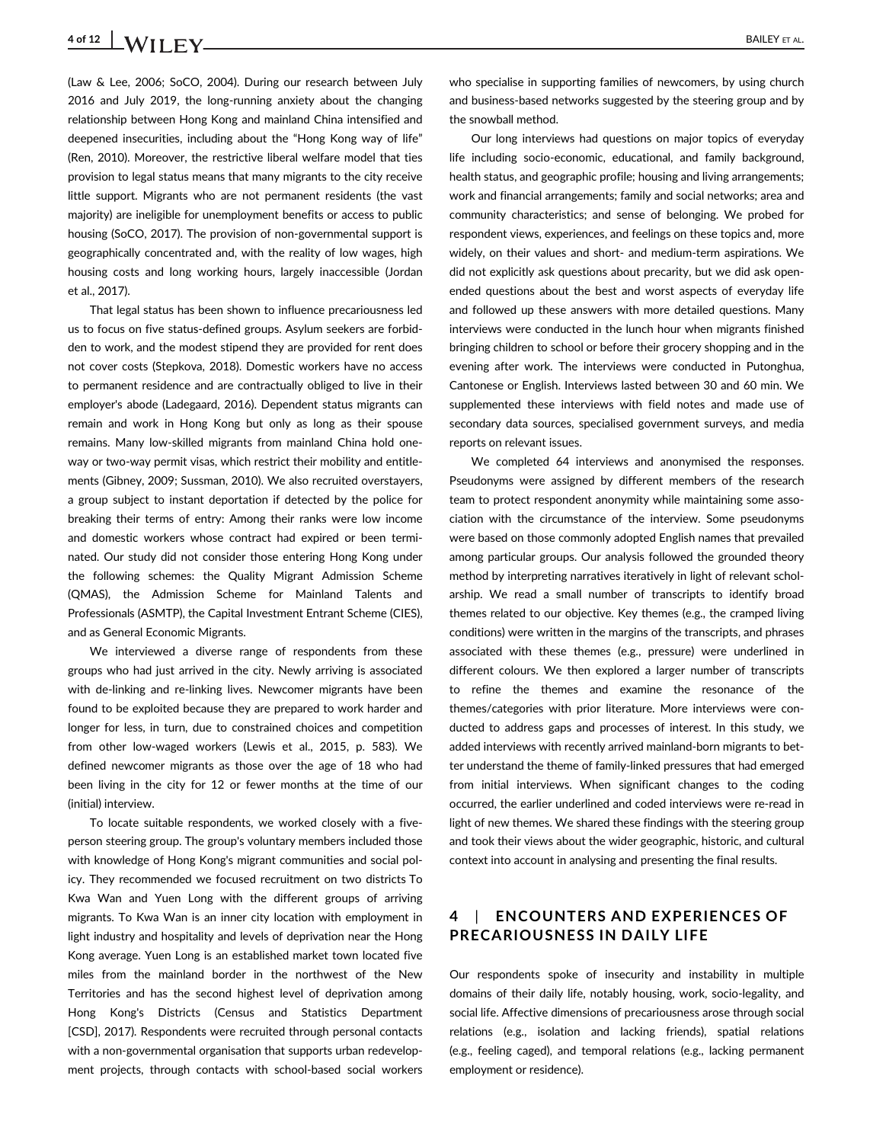## 4 of 12 | **WILEY** ET AL.

(Law & Lee, 2006; SoCO, 2004). During our research between July 2016 and July 2019, the long-running anxiety about the changing relationship between Hong Kong and mainland China intensified and deepened insecurities, including about the "Hong Kong way of life" (Ren, 2010). Moreover, the restrictive liberal welfare model that ties provision to legal status means that many migrants to the city receive little support. Migrants who are not permanent residents (the vast majority) are ineligible for unemployment benefits or access to public housing (SoCO, 2017). The provision of non-governmental support is geographically concentrated and, with the reality of low wages, high housing costs and long working hours, largely inaccessible (Jordan et al., 2017).

That legal status has been shown to influence precariousness led us to focus on five status-defined groups. Asylum seekers are forbidden to work, and the modest stipend they are provided for rent does not cover costs (Stepkova, 2018). Domestic workers have no access to permanent residence and are contractually obliged to live in their employer's abode (Ladegaard, 2016). Dependent status migrants can remain and work in Hong Kong but only as long as their spouse remains. Many low-skilled migrants from mainland China hold oneway or two-way permit visas, which restrict their mobility and entitlements (Gibney, 2009; Sussman, 2010). We also recruited overstayers, a group subject to instant deportation if detected by the police for breaking their terms of entry: Among their ranks were low income and domestic workers whose contract had expired or been terminated. Our study did not consider those entering Hong Kong under the following schemes: the Quality Migrant Admission Scheme (QMAS), the Admission Scheme for Mainland Talents and Professionals (ASMTP), the Capital Investment Entrant Scheme (CIES), and as General Economic Migrants.

We interviewed a diverse range of respondents from these groups who had just arrived in the city. Newly arriving is associated with de-linking and re-linking lives. Newcomer migrants have been found to be exploited because they are prepared to work harder and longer for less, in turn, due to constrained choices and competition from other low-waged workers (Lewis et al., 2015, p. 583). We defined newcomer migrants as those over the age of 18 who had been living in the city for 12 or fewer months at the time of our (initial) interview.

To locate suitable respondents, we worked closely with a fiveperson steering group. The group's voluntary members included those with knowledge of Hong Kong's migrant communities and social policy. They recommended we focused recruitment on two districts To Kwa Wan and Yuen Long with the different groups of arriving migrants. To Kwa Wan is an inner city location with employment in light industry and hospitality and levels of deprivation near the Hong Kong average. Yuen Long is an established market town located five miles from the mainland border in the northwest of the New Territories and has the second highest level of deprivation among Hong Kong's Districts (Census and Statistics Department [CSD], 2017). Respondents were recruited through personal contacts with a non-governmental organisation that supports urban redevelopment projects, through contacts with school-based social workers

who specialise in supporting families of newcomers, by using church and business-based networks suggested by the steering group and by the snowball method.

Our long interviews had questions on major topics of everyday life including socio-economic, educational, and family background, health status, and geographic profile; housing and living arrangements; work and financial arrangements; family and social networks; area and community characteristics; and sense of belonging. We probed for respondent views, experiences, and feelings on these topics and, more widely, on their values and short- and medium-term aspirations. We did not explicitly ask questions about precarity, but we did ask openended questions about the best and worst aspects of everyday life and followed up these answers with more detailed questions. Many interviews were conducted in the lunch hour when migrants finished bringing children to school or before their grocery shopping and in the evening after work. The interviews were conducted in Putonghua, Cantonese or English. Interviews lasted between 30 and 60 min. We supplemented these interviews with field notes and made use of secondary data sources, specialised government surveys, and media reports on relevant issues.

We completed 64 interviews and anonymised the responses. Pseudonyms were assigned by different members of the research team to protect respondent anonymity while maintaining some association with the circumstance of the interview. Some pseudonyms were based on those commonly adopted English names that prevailed among particular groups. Our analysis followed the grounded theory method by interpreting narratives iteratively in light of relevant scholarship. We read a small number of transcripts to identify broad themes related to our objective. Key themes (e.g., the cramped living conditions) were written in the margins of the transcripts, and phrases associated with these themes (e.g., pressure) were underlined in different colours. We then explored a larger number of transcripts to refine the themes and examine the resonance of the themes/categories with prior literature. More interviews were conducted to address gaps and processes of interest. In this study, we added interviews with recently arrived mainland-born migrants to better understand the theme of family-linked pressures that had emerged from initial interviews. When significant changes to the coding occurred, the earlier underlined and coded interviews were re-read in light of new themes. We shared these findings with the steering group and took their views about the wider geographic, historic, and cultural context into account in analysing and presenting the final results.

## 4 | ENCOUNTERS AND EXPERIENCES OF PRECARIOUSNESS IN DAILY LIFE

Our respondents spoke of insecurity and instability in multiple domains of their daily life, notably housing, work, socio-legality, and social life. Affective dimensions of precariousness arose through social relations (e.g., isolation and lacking friends), spatial relations (e.g., feeling caged), and temporal relations (e.g., lacking permanent employment or residence).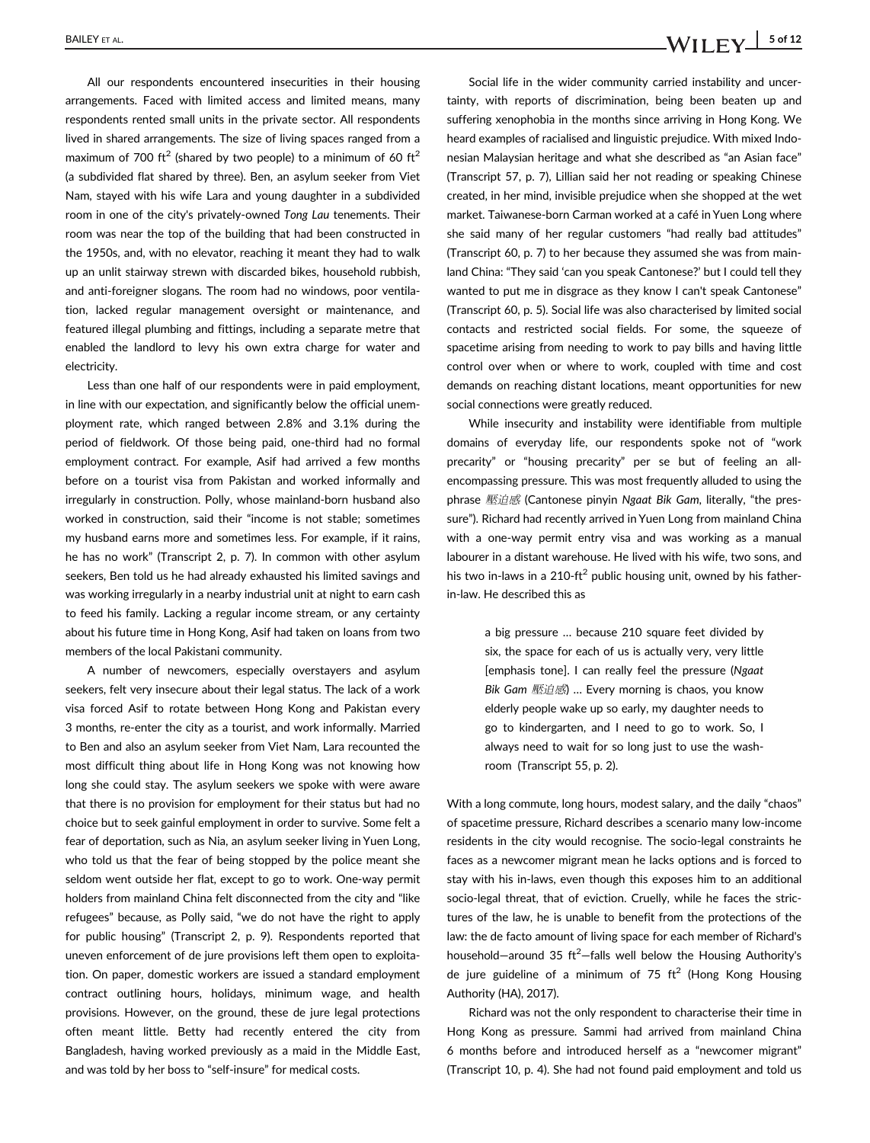All our respondents encountered insecurities in their housing arrangements. Faced with limited access and limited means, many respondents rented small units in the private sector. All respondents lived in shared arrangements. The size of living spaces ranged from a maximum of 700 ft<sup>2</sup> (shared by two people) to a minimum of 60 ft<sup>2</sup> (a subdivided flat shared by three). Ben, an asylum seeker from Viet Nam, stayed with his wife Lara and young daughter in a subdivided room in one of the city's privately-owned Tong Lau tenements. Their room was near the top of the building that had been constructed in the 1950s, and, with no elevator, reaching it meant they had to walk up an unlit stairway strewn with discarded bikes, household rubbish, and anti-foreigner slogans. The room had no windows, poor ventilation, lacked regular management oversight or maintenance, and featured illegal plumbing and fittings, including a separate metre that enabled the landlord to levy his own extra charge for water and electricity.

Less than one half of our respondents were in paid employment, in line with our expectation, and significantly below the official unemployment rate, which ranged between 2.8% and 3.1% during the period of fieldwork. Of those being paid, one-third had no formal employment contract. For example, Asif had arrived a few months before on a tourist visa from Pakistan and worked informally and irregularly in construction. Polly, whose mainland-born husband also worked in construction, said their "income is not stable; sometimes my husband earns more and sometimes less. For example, if it rains, he has no work" (Transcript 2, p. 7). In common with other asylum seekers, Ben told us he had already exhausted his limited savings and was working irregularly in a nearby industrial unit at night to earn cash to feed his family. Lacking a regular income stream, or any certainty about his future time in Hong Kong, Asif had taken on loans from two members of the local Pakistani community.

A number of newcomers, especially overstayers and asylum seekers, felt very insecure about their legal status. The lack of a work visa forced Asif to rotate between Hong Kong and Pakistan every 3 months, re-enter the city as a tourist, and work informally. Married to Ben and also an asylum seeker from Viet Nam, Lara recounted the most difficult thing about life in Hong Kong was not knowing how long she could stay. The asylum seekers we spoke with were aware that there is no provision for employment for their status but had no choice but to seek gainful employment in order to survive. Some felt a fear of deportation, such as Nia, an asylum seeker living in Yuen Long, who told us that the fear of being stopped by the police meant she seldom went outside her flat, except to go to work. One-way permit holders from mainland China felt disconnected from the city and "like refugees" because, as Polly said, "we do not have the right to apply for public housing" (Transcript 2, p. 9). Respondents reported that uneven enforcement of de jure provisions left them open to exploitation. On paper, domestic workers are issued a standard employment contract outlining hours, holidays, minimum wage, and health provisions. However, on the ground, these de jure legal protections often meant little. Betty had recently entered the city from Bangladesh, having worked previously as a maid in the Middle East, and was told by her boss to "self-insure" for medical costs.

Social life in the wider community carried instability and uncertainty, with reports of discrimination, being been beaten up and suffering xenophobia in the months since arriving in Hong Kong. We heard examples of racialised and linguistic prejudice. With mixed Indonesian Malaysian heritage and what she described as "an Asian face" (Transcript 57, p. 7), Lillian said her not reading or speaking Chinese created, in her mind, invisible prejudice when she shopped at the wet market. Taiwanese-born Carman worked at a café in Yuen Long where she said many of her regular customers "had really bad attitudes" (Transcript 60, p. 7) to her because they assumed she was from mainland China: "They said 'can you speak Cantonese?' but I could tell they wanted to put me in disgrace as they know I can't speak Cantonese" (Transcript 60, p. 5). Social life was also characterised by limited social contacts and restricted social fields. For some, the squeeze of spacetime arising from needing to work to pay bills and having little control over when or where to work, coupled with time and cost demands on reaching distant locations, meant opportunities for new social connections were greatly reduced.

While insecurity and instability were identifiable from multiple domains of everyday life, our respondents spoke not of "work precarity" or "housing precarity" per se but of feeling an allencompassing pressure. This was most frequently alluded to using the phrase 壓迫感 (Cantonese pinyin Ngaat Bik Gam, literally, "the pressure"). Richard had recently arrived in Yuen Long from mainland China with a one-way permit entry visa and was working as a manual labourer in a distant warehouse. He lived with his wife, two sons, and his two in-laws in a 210-ft<sup>2</sup> public housing unit, owned by his fatherin-law. He described this as

> a big pressure … because 210 square feet divided by six, the space for each of us is actually very, very little [emphasis tone]. I can really feel the pressure (Ngaat Bik Gam 壓迫感) … Every morning is chaos, you know elderly people wake up so early, my daughter needs to go to kindergarten, and I need to go to work. So, I always need to wait for so long just to use the washroom (Transcript 55, p. 2).

With a long commute, long hours, modest salary, and the daily "chaos" of spacetime pressure, Richard describes a scenario many low-income residents in the city would recognise. The socio-legal constraints he faces as a newcomer migrant mean he lacks options and is forced to stay with his in-laws, even though this exposes him to an additional socio-legal threat, that of eviction. Cruelly, while he faces the strictures of the law, he is unable to benefit from the protections of the law: the de facto amount of living space for each member of Richard's household-around 35  $ft^2$ -falls well below the Housing Authority's de jure guideline of a minimum of 75  $ft^2$  (Hong Kong Housing Authority (HA), 2017).

Richard was not the only respondent to characterise their time in Hong Kong as pressure. Sammi had arrived from mainland China 6 months before and introduced herself as a "newcomer migrant" (Transcript 10, p. 4). She had not found paid employment and told us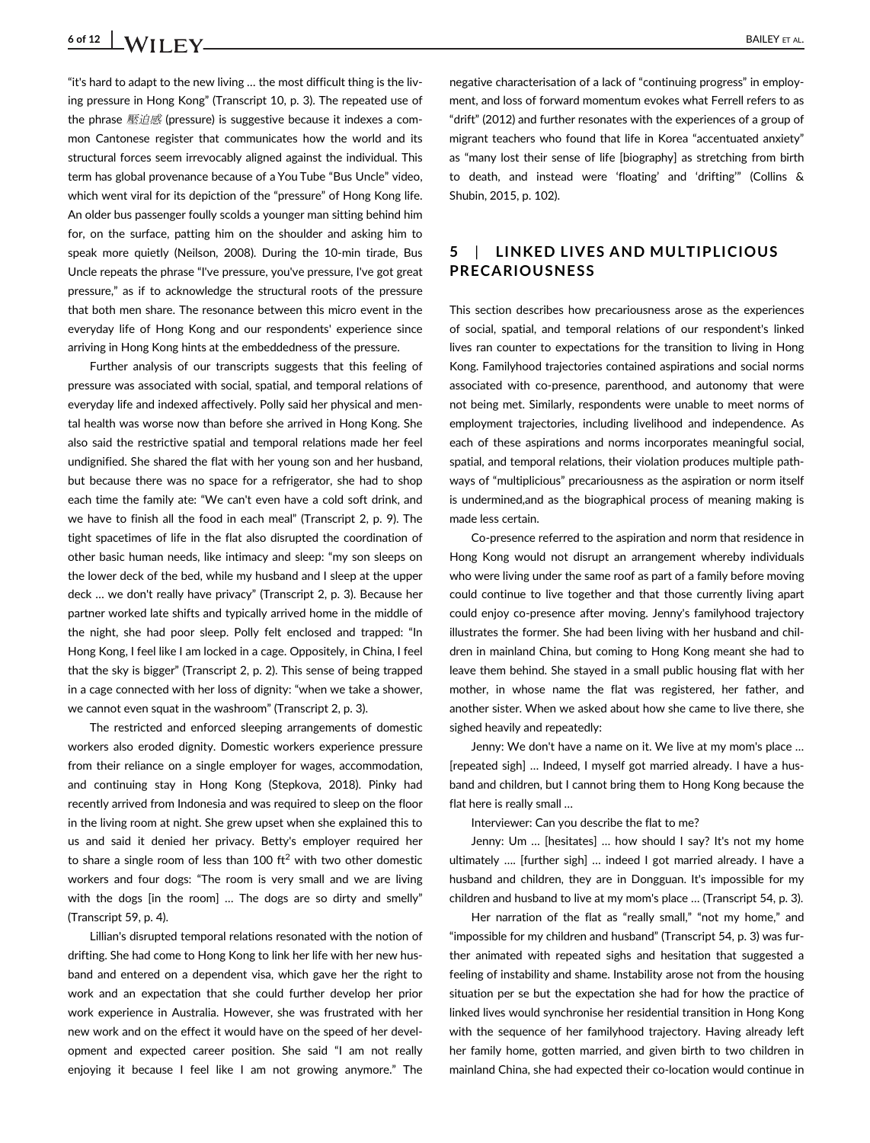## 6 of 12  $\bigcup$   $M/I$   $FV$

"it's hard to adapt to the new living … the most difficult thing is the living pressure in Hong Kong" (Transcript 10, p. 3). The repeated use of the phrase 壓迫感 (pressure) is suggestive because it indexes a common Cantonese register that communicates how the world and its structural forces seem irrevocably aligned against the individual. This term has global provenance because of a You Tube "Bus Uncle" video, which went viral for its depiction of the "pressure" of Hong Kong life. An older bus passenger foully scolds a younger man sitting behind him for, on the surface, patting him on the shoulder and asking him to speak more quietly (Neilson, 2008). During the 10-min tirade, Bus Uncle repeats the phrase "I've pressure, you've pressure, I've got great pressure," as if to acknowledge the structural roots of the pressure that both men share. The resonance between this micro event in the everyday life of Hong Kong and our respondents' experience since arriving in Hong Kong hints at the embeddedness of the pressure.

Further analysis of our transcripts suggests that this feeling of pressure was associated with social, spatial, and temporal relations of everyday life and indexed affectively. Polly said her physical and mental health was worse now than before she arrived in Hong Kong. She also said the restrictive spatial and temporal relations made her feel undignified. She shared the flat with her young son and her husband, but because there was no space for a refrigerator, she had to shop each time the family ate: "We can't even have a cold soft drink, and we have to finish all the food in each meal" (Transcript 2, p. 9). The tight spacetimes of life in the flat also disrupted the coordination of other basic human needs, like intimacy and sleep: "my son sleeps on the lower deck of the bed, while my husband and I sleep at the upper deck … we don't really have privacy" (Transcript 2, p. 3). Because her partner worked late shifts and typically arrived home in the middle of the night, she had poor sleep. Polly felt enclosed and trapped: "In Hong Kong, I feel like I am locked in a cage. Oppositely, in China, I feel that the sky is bigger" (Transcript 2, p. 2). This sense of being trapped in a cage connected with her loss of dignity: "when we take a shower, we cannot even squat in the washroom" (Transcript 2, p. 3).

The restricted and enforced sleeping arrangements of domestic workers also eroded dignity. Domestic workers experience pressure from their reliance on a single employer for wages, accommodation, and continuing stay in Hong Kong (Stepkova, 2018). Pinky had recently arrived from Indonesia and was required to sleep on the floor in the living room at night. She grew upset when she explained this to us and said it denied her privacy. Betty's employer required her to share a single room of less than 100  $\text{ft}^2$  with two other domestic workers and four dogs: "The room is very small and we are living with the dogs [in the room] … The dogs are so dirty and smelly" (Transcript 59, p. 4).

Lillian's disrupted temporal relations resonated with the notion of drifting. She had come to Hong Kong to link her life with her new husband and entered on a dependent visa, which gave her the right to work and an expectation that she could further develop her prior work experience in Australia. However, she was frustrated with her new work and on the effect it would have on the speed of her development and expected career position. She said "I am not really enjoying it because I feel like I am not growing anymore." The

negative characterisation of a lack of "continuing progress" in employment, and loss of forward momentum evokes what Ferrell refers to as "drift" (2012) and further resonates with the experiences of a group of migrant teachers who found that life in Korea "accentuated anxiety" as "many lost their sense of life [biography] as stretching from birth to death, and instead were 'floating' and 'drifting'" (Collins & Shubin, 2015, p. 102).

### 5 | LINKED LIVES AND MULTIPLICIOUS PRECARIOUSNESS

This section describes how precariousness arose as the experiences of social, spatial, and temporal relations of our respondent's linked lives ran counter to expectations for the transition to living in Hong Kong. Familyhood trajectories contained aspirations and social norms associated with co-presence, parenthood, and autonomy that were not being met. Similarly, respondents were unable to meet norms of employment trajectories, including livelihood and independence. As each of these aspirations and norms incorporates meaningful social, spatial, and temporal relations, their violation produces multiple pathways of "multiplicious" precariousness as the aspiration or norm itself is undermined,and as the biographical process of meaning making is made less certain.

Co-presence referred to the aspiration and norm that residence in Hong Kong would not disrupt an arrangement whereby individuals who were living under the same roof as part of a family before moving could continue to live together and that those currently living apart could enjoy co-presence after moving. Jenny's familyhood trajectory illustrates the former. She had been living with her husband and children in mainland China, but coming to Hong Kong meant she had to leave them behind. She stayed in a small public housing flat with her mother, in whose name the flat was registered, her father, and another sister. When we asked about how she came to live there, she sighed heavily and repeatedly:

Jenny: We don't have a name on it. We live at my mom's place … [repeated sigh] ... Indeed, I myself got married already. I have a husband and children, but I cannot bring them to Hong Kong because the flat here is really small …

Interviewer: Can you describe the flat to me?

Jenny: Um … [hesitates] … how should I say? It's not my home ultimately …. [further sigh] … indeed I got married already. I have a husband and children, they are in Dongguan. It's impossible for my children and husband to live at my mom's place … (Transcript 54, p. 3).

Her narration of the flat as "really small," "not my home," and "impossible for my children and husband" (Transcript 54, p. 3) was further animated with repeated sighs and hesitation that suggested a feeling of instability and shame. Instability arose not from the housing situation per se but the expectation she had for how the practice of linked lives would synchronise her residential transition in Hong Kong with the sequence of her familyhood trajectory. Having already left her family home, gotten married, and given birth to two children in mainland China, she had expected their co-location would continue in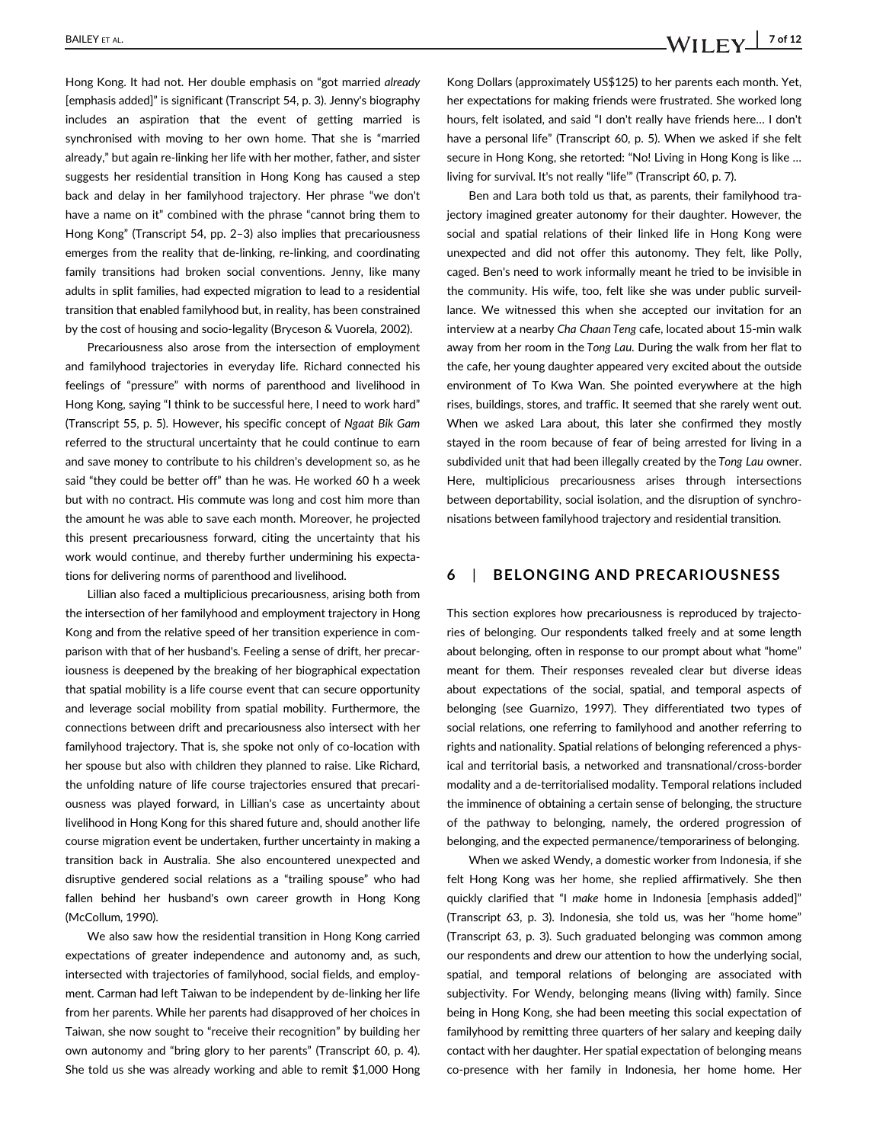Hong Kong. It had not. Her double emphasis on "got married already [emphasis added]" is significant (Transcript 54, p. 3). Jenny's biography includes an aspiration that the event of getting married is synchronised with moving to her own home. That she is "married already," but again re-linking her life with her mother, father, and sister suggests her residential transition in Hong Kong has caused a step back and delay in her familyhood trajectory. Her phrase "we don't have a name on it" combined with the phrase "cannot bring them to Hong Kong" (Transcript 54, pp. 2–3) also implies that precariousness emerges from the reality that de-linking, re-linking, and coordinating family transitions had broken social conventions. Jenny, like many adults in split families, had expected migration to lead to a residential transition that enabled familyhood but, in reality, has been constrained by the cost of housing and socio-legality (Bryceson & Vuorela, 2002).

Precariousness also arose from the intersection of employment and familyhood trajectories in everyday life. Richard connected his feelings of "pressure" with norms of parenthood and livelihood in Hong Kong, saying "I think to be successful here, I need to work hard" (Transcript 55, p. 5). However, his specific concept of Ngaat Bik Gam referred to the structural uncertainty that he could continue to earn and save money to contribute to his children's development so, as he said "they could be better off" than he was. He worked 60 h a week but with no contract. His commute was long and cost him more than the amount he was able to save each month. Moreover, he projected this present precariousness forward, citing the uncertainty that his work would continue, and thereby further undermining his expectations for delivering norms of parenthood and livelihood.

Lillian also faced a multiplicious precariousness, arising both from the intersection of her familyhood and employment trajectory in Hong Kong and from the relative speed of her transition experience in comparison with that of her husband's. Feeling a sense of drift, her precariousness is deepened by the breaking of her biographical expectation that spatial mobility is a life course event that can secure opportunity and leverage social mobility from spatial mobility. Furthermore, the connections between drift and precariousness also intersect with her familyhood trajectory. That is, she spoke not only of co-location with her spouse but also with children they planned to raise. Like Richard, the unfolding nature of life course trajectories ensured that precariousness was played forward, in Lillian's case as uncertainty about livelihood in Hong Kong for this shared future and, should another life course migration event be undertaken, further uncertainty in making a transition back in Australia. She also encountered unexpected and disruptive gendered social relations as a "trailing spouse" who had fallen behind her husband's own career growth in Hong Kong (McCollum, 1990).

We also saw how the residential transition in Hong Kong carried expectations of greater independence and autonomy and, as such, intersected with trajectories of familyhood, social fields, and employment. Carman had left Taiwan to be independent by de-linking her life from her parents. While her parents had disapproved of her choices in Taiwan, she now sought to "receive their recognition" by building her own autonomy and "bring glory to her parents" (Transcript 60, p. 4). She told us she was already working and able to remit \$1,000 Hong Kong Dollars (approximately US\$125) to her parents each month. Yet, her expectations for making friends were frustrated. She worked long hours, felt isolated, and said "I don't really have friends here… I don't have a personal life" (Transcript 60, p. 5). When we asked if she felt secure in Hong Kong, she retorted: "No! Living in Hong Kong is like … living for survival. It's not really "life'" (Transcript 60, p. 7).

Ben and Lara both told us that, as parents, their familyhood trajectory imagined greater autonomy for their daughter. However, the social and spatial relations of their linked life in Hong Kong were unexpected and did not offer this autonomy. They felt, like Polly, caged. Ben's need to work informally meant he tried to be invisible in the community. His wife, too, felt like she was under public surveillance. We witnessed this when she accepted our invitation for an interview at a nearby Cha Chaan Teng cafe, located about 15-min walk away from her room in the Tong Lau. During the walk from her flat to the cafe, her young daughter appeared very excited about the outside environment of To Kwa Wan. She pointed everywhere at the high rises, buildings, stores, and traffic. It seemed that she rarely went out. When we asked Lara about, this later she confirmed they mostly stayed in the room because of fear of being arrested for living in a subdivided unit that had been illegally created by the Tong Lau owner. Here, multiplicious precariousness arises through intersections between deportability, social isolation, and the disruption of synchronisations between familyhood trajectory and residential transition.

### 6 | BELONGING AND PRECARIOUSNESS

This section explores how precariousness is reproduced by trajectories of belonging. Our respondents talked freely and at some length about belonging, often in response to our prompt about what "home" meant for them. Their responses revealed clear but diverse ideas about expectations of the social, spatial, and temporal aspects of belonging (see Guarnizo, 1997). They differentiated two types of social relations, one referring to familyhood and another referring to rights and nationality. Spatial relations of belonging referenced a physical and territorial basis, a networked and transnational/cross-border modality and a de-territorialised modality. Temporal relations included the imminence of obtaining a certain sense of belonging, the structure of the pathway to belonging, namely, the ordered progression of belonging, and the expected permanence/temporariness of belonging.

When we asked Wendy, a domestic worker from Indonesia, if she felt Hong Kong was her home, she replied affirmatively. She then quickly clarified that "I make home in Indonesia [emphasis added]" (Transcript 63, p. 3). Indonesia, she told us, was her "home home" (Transcript 63, p. 3). Such graduated belonging was common among our respondents and drew our attention to how the underlying social, spatial, and temporal relations of belonging are associated with subjectivity. For Wendy, belonging means (living with) family. Since being in Hong Kong, she had been meeting this social expectation of familyhood by remitting three quarters of her salary and keeping daily contact with her daughter. Her spatial expectation of belonging means co-presence with her family in Indonesia, her home home. Her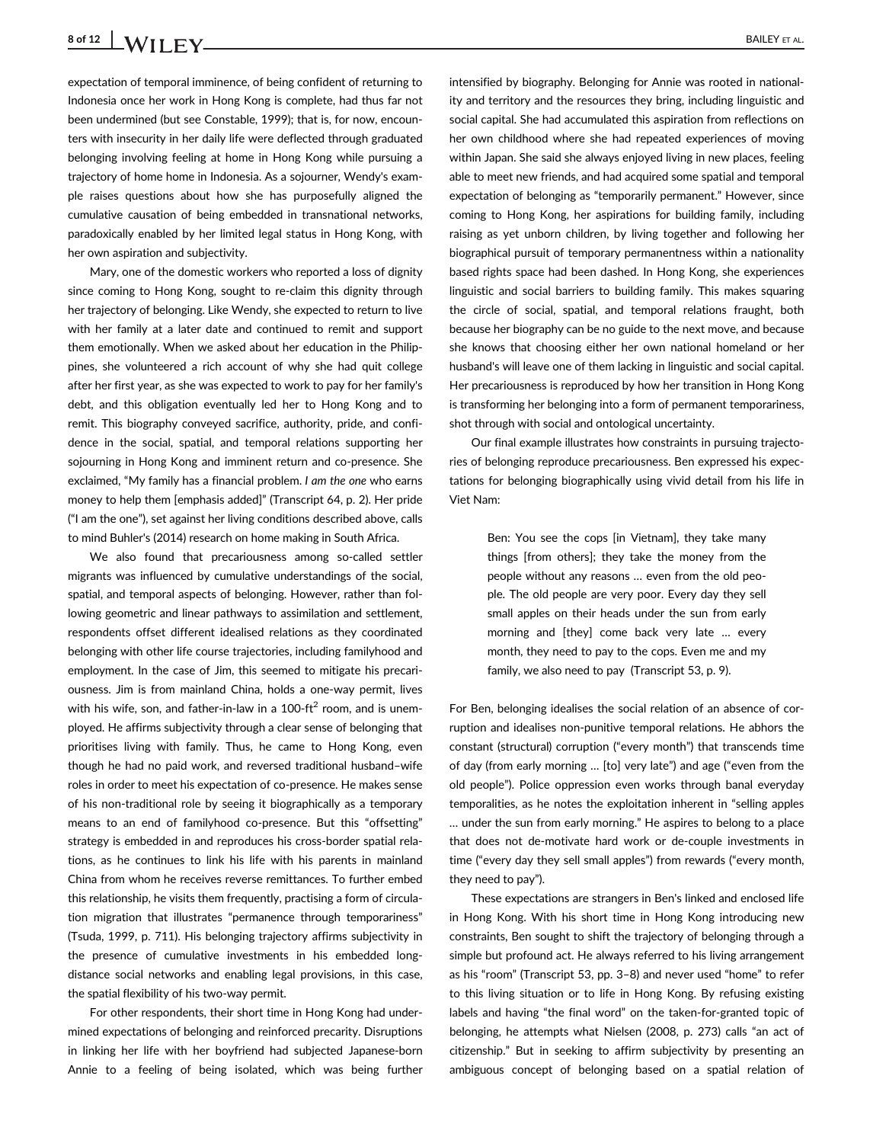## 8 of 12 | **WIIFV** BAILEY ET AL.

expectation of temporal imminence, of being confident of returning to Indonesia once her work in Hong Kong is complete, had thus far not been undermined (but see Constable, 1999); that is, for now, encounters with insecurity in her daily life were deflected through graduated belonging involving feeling at home in Hong Kong while pursuing a trajectory of home home in Indonesia. As a sojourner, Wendy's example raises questions about how she has purposefully aligned the cumulative causation of being embedded in transnational networks, paradoxically enabled by her limited legal status in Hong Kong, with her own aspiration and subjectivity.

Mary, one of the domestic workers who reported a loss of dignity since coming to Hong Kong, sought to re-claim this dignity through her trajectory of belonging. Like Wendy, she expected to return to live with her family at a later date and continued to remit and support them emotionally. When we asked about her education in the Philippines, she volunteered a rich account of why she had quit college after her first year, as she was expected to work to pay for her family's debt, and this obligation eventually led her to Hong Kong and to remit. This biography conveyed sacrifice, authority, pride, and confidence in the social, spatial, and temporal relations supporting her sojourning in Hong Kong and imminent return and co-presence. She exclaimed, "My family has a financial problem. I am the one who earns money to help them [emphasis added]" (Transcript 64, p. 2). Her pride ("I am the one"), set against her living conditions described above, calls to mind Buhler's (2014) research on home making in South Africa.

We also found that precariousness among so-called settler migrants was influenced by cumulative understandings of the social, spatial, and temporal aspects of belonging. However, rather than following geometric and linear pathways to assimilation and settlement, respondents offset different idealised relations as they coordinated belonging with other life course trajectories, including familyhood and employment. In the case of Jim, this seemed to mitigate his precariousness. Jim is from mainland China, holds a one-way permit, lives with his wife, son, and father-in-law in a 100-ft<sup>2</sup> room, and is unemployed. He affirms subjectivity through a clear sense of belonging that prioritises living with family. Thus, he came to Hong Kong, even though he had no paid work, and reversed traditional husband–wife roles in order to meet his expectation of co-presence. He makes sense of his non-traditional role by seeing it biographically as a temporary means to an end of familyhood co-presence. But this "offsetting" strategy is embedded in and reproduces his cross-border spatial relations, as he continues to link his life with his parents in mainland China from whom he receives reverse remittances. To further embed this relationship, he visits them frequently, practising a form of circulation migration that illustrates "permanence through temporariness" (Tsuda, 1999, p. 711). His belonging trajectory affirms subjectivity in the presence of cumulative investments in his embedded longdistance social networks and enabling legal provisions, in this case, the spatial flexibility of his two-way permit.

For other respondents, their short time in Hong Kong had undermined expectations of belonging and reinforced precarity. Disruptions in linking her life with her boyfriend had subjected Japanese-born Annie to a feeling of being isolated, which was being further intensified by biography. Belonging for Annie was rooted in nationality and territory and the resources they bring, including linguistic and social capital. She had accumulated this aspiration from reflections on her own childhood where she had repeated experiences of moving within Japan. She said she always enjoyed living in new places, feeling able to meet new friends, and had acquired some spatial and temporal expectation of belonging as "temporarily permanent." However, since coming to Hong Kong, her aspirations for building family, including raising as yet unborn children, by living together and following her biographical pursuit of temporary permanentness within a nationality based rights space had been dashed. In Hong Kong, she experiences linguistic and social barriers to building family. This makes squaring the circle of social, spatial, and temporal relations fraught, both because her biography can be no guide to the next move, and because she knows that choosing either her own national homeland or her husband's will leave one of them lacking in linguistic and social capital. Her precariousness is reproduced by how her transition in Hong Kong is transforming her belonging into a form of permanent temporariness, shot through with social and ontological uncertainty.

Our final example illustrates how constraints in pursuing trajectories of belonging reproduce precariousness. Ben expressed his expectations for belonging biographically using vivid detail from his life in Viet Nam:

> Ben: You see the cops [in Vietnam], they take many things [from others]; they take the money from the people without any reasons … even from the old people. The old people are very poor. Every day they sell small apples on their heads under the sun from early morning and [they] come back very late … every month, they need to pay to the cops. Even me and my family, we also need to pay (Transcript 53, p. 9).

For Ben, belonging idealises the social relation of an absence of corruption and idealises non-punitive temporal relations. He abhors the constant (structural) corruption ("every month") that transcends time of day (from early morning … [to] very late") and age ("even from the old people"). Police oppression even works through banal everyday temporalities, as he notes the exploitation inherent in "selling apples … under the sun from early morning." He aspires to belong to a place that does not de-motivate hard work or de-couple investments in time ("every day they sell small apples") from rewards ("every month, they need to pay").

These expectations are strangers in Ben's linked and enclosed life in Hong Kong. With his short time in Hong Kong introducing new constraints, Ben sought to shift the trajectory of belonging through a simple but profound act. He always referred to his living arrangement as his "room" (Transcript 53, pp. 3–8) and never used "home" to refer to this living situation or to life in Hong Kong. By refusing existing labels and having "the final word" on the taken-for-granted topic of belonging, he attempts what Nielsen (2008, p. 273) calls "an act of citizenship." But in seeking to affirm subjectivity by presenting an ambiguous concept of belonging based on a spatial relation of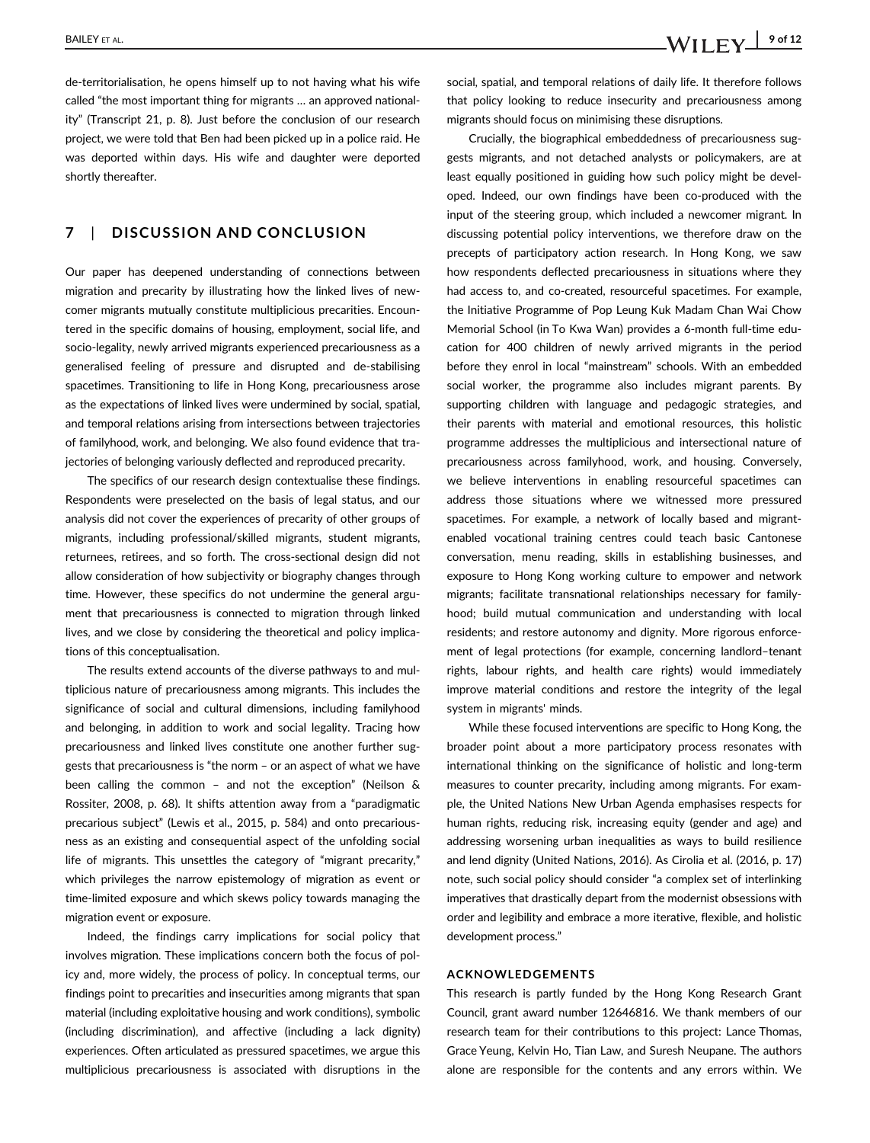de-territorialisation, he opens himself up to not having what his wife called "the most important thing for migrants … an approved nationality" (Transcript 21, p. 8). Just before the conclusion of our research project, we were told that Ben had been picked up in a police raid. He was deported within days. His wife and daughter were deported shortly thereafter.

### 7 | DISCUSSION AND CONCLUSION

Our paper has deepened understanding of connections between migration and precarity by illustrating how the linked lives of newcomer migrants mutually constitute multiplicious precarities. Encountered in the specific domains of housing, employment, social life, and socio-legality, newly arrived migrants experienced precariousness as a generalised feeling of pressure and disrupted and de-stabilising spacetimes. Transitioning to life in Hong Kong, precariousness arose as the expectations of linked lives were undermined by social, spatial, and temporal relations arising from intersections between trajectories of familyhood, work, and belonging. We also found evidence that trajectories of belonging variously deflected and reproduced precarity.

The specifics of our research design contextualise these findings. Respondents were preselected on the basis of legal status, and our analysis did not cover the experiences of precarity of other groups of migrants, including professional/skilled migrants, student migrants, returnees, retirees, and so forth. The cross-sectional design did not allow consideration of how subjectivity or biography changes through time. However, these specifics do not undermine the general argument that precariousness is connected to migration through linked lives, and we close by considering the theoretical and policy implications of this conceptualisation.

The results extend accounts of the diverse pathways to and multiplicious nature of precariousness among migrants. This includes the significance of social and cultural dimensions, including familyhood and belonging, in addition to work and social legality. Tracing how precariousness and linked lives constitute one another further suggests that precariousness is "the norm – or an aspect of what we have been calling the common – and not the exception" (Neilson & Rossiter, 2008, p. 68). It shifts attention away from a "paradigmatic precarious subject" (Lewis et al., 2015, p. 584) and onto precariousness as an existing and consequential aspect of the unfolding social life of migrants. This unsettles the category of "migrant precarity," which privileges the narrow epistemology of migration as event or time-limited exposure and which skews policy towards managing the migration event or exposure.

Indeed, the findings carry implications for social policy that involves migration. These implications concern both the focus of policy and, more widely, the process of policy. In conceptual terms, our findings point to precarities and insecurities among migrants that span material (including exploitative housing and work conditions), symbolic (including discrimination), and affective (including a lack dignity) experiences. Often articulated as pressured spacetimes, we argue this multiplicious precariousness is associated with disruptions in the

social, spatial, and temporal relations of daily life. It therefore follows that policy looking to reduce insecurity and precariousness among migrants should focus on minimising these disruptions.

Crucially, the biographical embeddedness of precariousness suggests migrants, and not detached analysts or policymakers, are at least equally positioned in guiding how such policy might be developed. Indeed, our own findings have been co-produced with the input of the steering group, which included a newcomer migrant. In discussing potential policy interventions, we therefore draw on the precepts of participatory action research. In Hong Kong, we saw how respondents deflected precariousness in situations where they had access to, and co-created, resourceful spacetimes. For example, the Initiative Programme of Pop Leung Kuk Madam Chan Wai Chow Memorial School (in To Kwa Wan) provides a 6-month full-time education for 400 children of newly arrived migrants in the period before they enrol in local "mainstream" schools. With an embedded social worker, the programme also includes migrant parents. By supporting children with language and pedagogic strategies, and their parents with material and emotional resources, this holistic programme addresses the multiplicious and intersectional nature of precariousness across familyhood, work, and housing. Conversely, we believe interventions in enabling resourceful spacetimes can address those situations where we witnessed more pressured spacetimes. For example, a network of locally based and migrantenabled vocational training centres could teach basic Cantonese conversation, menu reading, skills in establishing businesses, and exposure to Hong Kong working culture to empower and network migrants; facilitate transnational relationships necessary for familyhood; build mutual communication and understanding with local residents; and restore autonomy and dignity. More rigorous enforcement of legal protections (for example, concerning landlord–tenant rights, labour rights, and health care rights) would immediately improve material conditions and restore the integrity of the legal system in migrants' minds.

While these focused interventions are specific to Hong Kong, the broader point about a more participatory process resonates with international thinking on the significance of holistic and long-term measures to counter precarity, including among migrants. For example, the United Nations New Urban Agenda emphasises respects for human rights, reducing risk, increasing equity (gender and age) and addressing worsening urban inequalities as ways to build resilience and lend dignity (United Nations, 2016). As Cirolia et al. (2016, p. 17) note, such social policy should consider "a complex set of interlinking imperatives that drastically depart from the modernist obsessions with order and legibility and embrace a more iterative, flexible, and holistic development process."

#### ACKNOWLEDGEMENTS

This research is partly funded by the Hong Kong Research Grant Council, grant award number 12646816. We thank members of our research team for their contributions to this project: Lance Thomas, Grace Yeung, Kelvin Ho, Tian Law, and Suresh Neupane. The authors alone are responsible for the contents and any errors within. We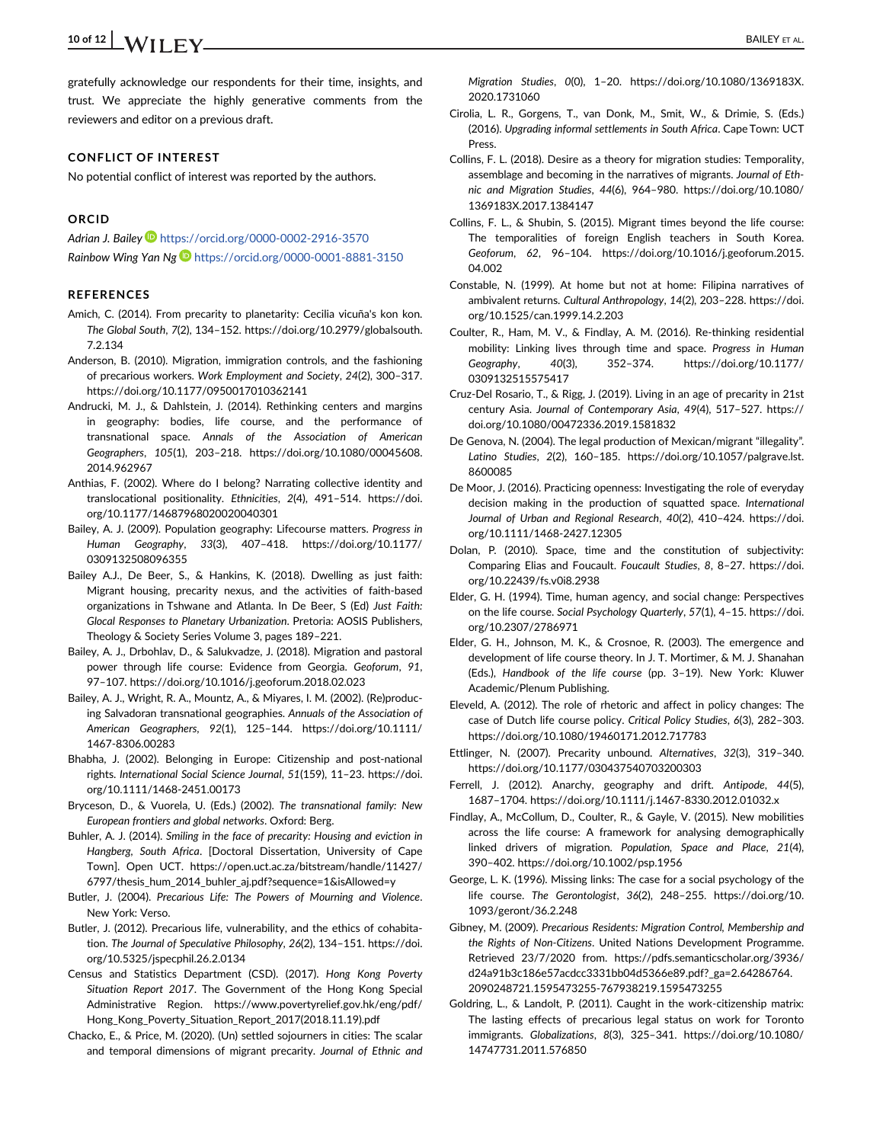## 10 of 12  $\big|$  **A/II**  $\Gamma$  **V** BAILEY ET AL.

gratefully acknowledge our respondents for their time, insights, and trust. We appreciate the highly generative comments from the reviewers and editor on a previous draft.

#### CONFLICT OF INTEREST

No potential conflict of interest was reported by the authors.

### ORCID

Adrian J. Bailey https://orcid.org/0000-0002-2916-3570

Rainbow Wing Yan Ng D https://orcid.org/0000-0001-8881-3150

### **REFERENCES**

- Amich, C. (2014). From precarity to planetarity: Cecilia vicuña's kon kon. The Global South, 7(2), 134–152. https://doi.org/10.2979/globalsouth. 7.2.134
- Anderson, B. (2010). Migration, immigration controls, and the fashioning of precarious workers. Work Employment and Society, 24(2), 300–317. https://doi.org/10.1177/0950017010362141
- Andrucki, M. J., & Dahlstein, J. (2014). Rethinking centers and margins in geography: bodies, life course, and the performance of transnational space. Annals of the Association of American Geographers, 105(1), 203–218. https://doi.org/10.1080/00045608. 2014.962967
- Anthias, F. (2002). Where do I belong? Narrating collective identity and translocational positionality. Ethnicities, 2(4), 491–514. https://doi. org/10.1177/14687968020020040301
- Bailey, A. J. (2009). Population geography: Lifecourse matters. Progress in Human Geography, 33(3), 407–418. https://doi.org/10.1177/ 0309132508096355
- Bailey A.J., De Beer, S., & Hankins, K. (2018). Dwelling as just faith: Migrant housing, precarity nexus, and the activities of faith-based organizations in Tshwane and Atlanta. In De Beer, S (Ed) Just Faith: Glocal Responses to Planetary Urbanization. Pretoria: AOSIS Publishers, Theology & Society Series Volume 3, pages 189–221.
- Bailey, A. J., Drbohlav, D., & Salukvadze, J. (2018). Migration and pastoral power through life course: Evidence from Georgia. Geoforum, 91, 97–107. https://doi.org/10.1016/j.geoforum.2018.02.023
- Bailey, A. J., Wright, R. A., Mountz, A., & Miyares, I. M. (2002). (Re)producing Salvadoran transnational geographies. Annuals of the Association of American Geographers, 92(1), 125–144. https://doi.org/10.1111/ 1467-8306.00283
- Bhabha, J. (2002). Belonging in Europe: Citizenship and post-national rights. International Social Science Journal, 51(159), 11–23. https://doi. org/10.1111/1468-2451.00173
- Bryceson, D., & Vuorela, U. (Eds.) (2002). The transnational family: New European frontiers and global networks. Oxford: Berg.
- Buhler, A. J. (2014). Smiling in the face of precarity: Housing and eviction in Hangberg, South Africa. [Doctoral Dissertation, University of Cape Town]. Open UCT. https://open.uct.ac.za/bitstream/handle/11427/ 6797/thesis\_hum\_2014\_buhler\_aj.pdf?sequence=1&isAllowed=y
- Butler, J. (2004). Precarious Life: The Powers of Mourning and Violence. New York: Verso.
- Butler, J. (2012). Precarious life, vulnerability, and the ethics of cohabitation. The Journal of Speculative Philosophy, 26(2), 134–151. https://doi. org/10.5325/jspecphil.26.2.0134
- Census and Statistics Department (CSD). (2017). Hong Kong Poverty Situation Report 2017. The Government of the Hong Kong Special Administrative Region. https://www.povertyrelief.gov.hk/eng/pdf/ Hong Kong Poverty Situation Report 2017(2018.11.19).pdf
- Chacko, E., & Price, M. (2020). (Un) settled sojourners in cities: The scalar and temporal dimensions of migrant precarity. Journal of Ethnic and

Migration Studies, 0(0), 1–20. https://doi.org/10.1080/1369183X. 2020.1731060

- Cirolia, L. R., Gorgens, T., van Donk, M., Smit, W., & Drimie, S. (Eds.) (2016). Upgrading informal settlements in South Africa. Cape Town: UCT Press.
- Collins, F. L. (2018). Desire as a theory for migration studies: Temporality, assemblage and becoming in the narratives of migrants. Journal of Ethnic and Migration Studies, 44(6), 964–980. https://doi.org/10.1080/ 1369183X.2017.1384147
- Collins, F. L., & Shubin, S. (2015). Migrant times beyond the life course: The temporalities of foreign English teachers in South Korea. Geoforum, 62, 96–104. https://doi.org/10.1016/j.geoforum.2015. 04.002
- Constable, N. (1999). At home but not at home: Filipina narratives of ambivalent returns. Cultural Anthropology, 14(2), 203–228. https://doi. org/10.1525/can.1999.14.2.203
- Coulter, R., Ham, M. V., & Findlay, A. M. (2016). Re-thinking residential mobility: Linking lives through time and space. Progress in Human Geography, 40(3), 352–374. https://doi.org/10.1177/ 0309132515575417
- Cruz-Del Rosario, T., & Rigg, J. (2019). Living in an age of precarity in 21st century Asia. Journal of Contemporary Asia, 49(4), 517–527. https:// doi.org/10.1080/00472336.2019.1581832
- De Genova, N. (2004). The legal production of Mexican/migrant "illegality". Latino Studies, 2(2), 160–185. https://doi.org/10.1057/palgrave.lst. 8600085
- De Moor, J. (2016). Practicing openness: Investigating the role of everyday decision making in the production of squatted space. International Journal of Urban and Regional Research, 40(2), 410–424. https://doi. org/10.1111/1468-2427.12305
- Dolan, P. (2010). Space, time and the constitution of subjectivity: Comparing Elias and Foucault. Foucault Studies, 8, 8–27. https://doi. org/10.22439/fs.v0i8.2938
- Elder, G. H. (1994). Time, human agency, and social change: Perspectives on the life course. Social Psychology Quarterly, 57(1), 4–15. https://doi. org/10.2307/2786971
- Elder, G. H., Johnson, M. K., & Crosnoe, R. (2003). The emergence and development of life course theory. In J. T. Mortimer, & M. J. Shanahan (Eds.), Handbook of the life course (pp. 3–19). New York: Kluwer Academic/Plenum Publishing.
- Eleveld, A. (2012). The role of rhetoric and affect in policy changes: The case of Dutch life course policy. Critical Policy Studies, 6(3), 282–303. https://doi.org/10.1080/19460171.2012.717783
- Ettlinger, N. (2007). Precarity unbound. Alternatives, 32(3), 319–340. https://doi.org/10.1177/030437540703200303
- Ferrell, J. (2012). Anarchy, geography and drift. Antipode, 44(5), 1687–1704. https://doi.org/10.1111/j.1467-8330.2012.01032.x
- Findlay, A., McCollum, D., Coulter, R., & Gayle, V. (2015). New mobilities across the life course: A framework for analysing demographically linked drivers of migration. Population, Space and Place, 21(4), 390–402. https://doi.org/10.1002/psp.1956
- George, L. K. (1996). Missing links: The case for a social psychology of the life course. The Gerontologist, 36(2), 248–255. https://doi.org/10. 1093/geront/36.2.248
- Gibney, M. (2009). Precarious Residents: Migration Control, Membership and the Rights of Non-Citizens. United Nations Development Programme. Retrieved 23/7/2020 from. https://pdfs.semanticscholar.org/3936/ d24a91b3c186e57acdcc3331bb04d5366e89.pdf?\_ga=2.64286764. 2090248721.1595473255-767938219.1595473255
- Goldring, L., & Landolt, P. (2011). Caught in the work-citizenship matrix: The lasting effects of precarious legal status on work for Toronto immigrants. Globalizations, 8(3), 325–341. https://doi.org/10.1080/ 14747731.2011.576850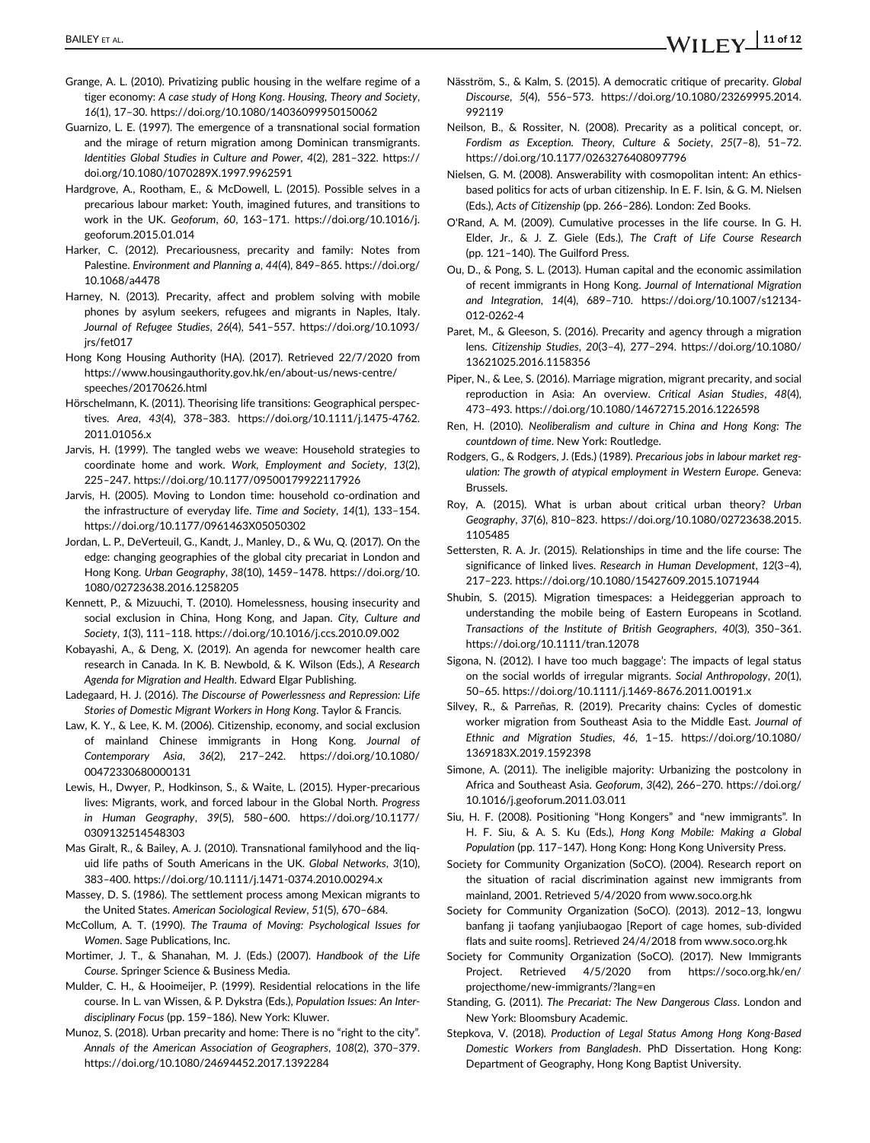- Grange, A. L. (2010). Privatizing public housing in the welfare regime of a tiger economy: A case study of Hong Kong. Housing, Theory and Society, 16(1), 17–30. https://doi.org/10.1080/14036099950150062
- Guarnizo, L. E. (1997). The emergence of a transnational social formation and the mirage of return migration among Dominican transmigrants. Identities Global Studies in Culture and Power, 4(2), 281–322. https:// doi.org/10.1080/1070289X.1997.9962591
- Hardgrove, A., Rootham, E., & McDowell, L. (2015). Possible selves in a precarious labour market: Youth, imagined futures, and transitions to work in the UK. Geoforum, 60, 163–171. https://doi.org/10.1016/j. geoforum.2015.01.014
- Harker, C. (2012). Precariousness, precarity and family: Notes from Palestine. Environment and Planning a, 44(4), 849–865. https://doi.org/ 10.1068/a4478
- Harney, N. (2013). Precarity, affect and problem solving with mobile phones by asylum seekers, refugees and migrants in Naples, Italy. Journal of Refugee Studies, 26(4), 541–557. https://doi.org/10.1093/ irs/fet017
- Hong Kong Housing Authority (HA). (2017). Retrieved 22/7/2020 from https://www.housingauthority.gov.hk/en/about-us/news-centre/ speeches/20170626.html
- Hörschelmann, K. (2011). Theorising life transitions: Geographical perspectives. Area, 43(4), 378–383. https://doi.org/10.1111/j.1475-4762. 2011.01056.x
- Jarvis, H. (1999). The tangled webs we weave: Household strategies to coordinate home and work. Work, Employment and Society, 13(2), 225–247. https://doi.org/10.1177/09500179922117926
- Jarvis, H. (2005). Moving to London time: household co-ordination and the infrastructure of everyday life. Time and Society, 14(1), 133–154. https://doi.org/10.1177/0961463X05050302
- Jordan, L. P., DeVerteuil, G., Kandt, J., Manley, D., & Wu, Q. (2017). On the edge: changing geographies of the global city precariat in London and Hong Kong. Urban Geography, 38(10), 1459–1478. https://doi.org/10. 1080/02723638.2016.1258205
- Kennett, P., & Mizuuchi, T. (2010). Homelessness, housing insecurity and social exclusion in China, Hong Kong, and Japan. City, Culture and Society, 1(3), 111–118. https://doi.org/10.1016/j.ccs.2010.09.002
- Kobayashi, A., & Deng, X. (2019). An agenda for newcomer health care research in Canada. In K. B. Newbold, & K. Wilson (Eds.), A Research Agenda for Migration and Health. Edward Elgar Publishing.
- Ladegaard, H. J. (2016). The Discourse of Powerlessness and Repression: Life Stories of Domestic Migrant Workers in Hong Kong. Taylor & Francis.
- Law, K. Y., & Lee, K. M. (2006). Citizenship, economy, and social exclusion of mainland Chinese immigrants in Hong Kong. Journal of Contemporary Asia, 36(2), 217–242. https://doi.org/10.1080/ 00472330680000131
- Lewis, H., Dwyer, P., Hodkinson, S., & Waite, L. (2015). Hyper-precarious lives: Migrants, work, and forced labour in the Global North. Progress in Human Geography, 39(5), 580–600. https://doi.org/10.1177/ 0309132514548303
- Mas Giralt, R., & Bailey, A. J. (2010). Transnational familyhood and the liquid life paths of South Americans in the UK. Global Networks, 3(10), 383–400. https://doi.org/10.1111/j.1471-0374.2010.00294.x
- Massey, D. S. (1986). The settlement process among Mexican migrants to the United States. American Sociological Review, 51(5), 670–684.
- McCollum, A. T. (1990). The Trauma of Moving: Psychological Issues for Women. Sage Publications, Inc.
- Mortimer, J. T., & Shanahan, M. J. (Eds.) (2007). Handbook of the Life Course. Springer Science & Business Media.
- Mulder, C. H., & Hooimeijer, P. (1999). Residential relocations in the life course. In L. van Wissen, & P. Dykstra (Eds.), Population Issues: An Interdisciplinary Focus (pp. 159–186). New York: Kluwer.
- Munoz, S. (2018). Urban precarity and home: There is no "right to the city". Annals of the American Association of Geographers, 108(2), 370–379. https://doi.org/10.1080/24694452.2017.1392284
- Näsström, S., & Kalm, S. (2015). A democratic critique of precarity. Global Discourse, 5(4), 556–573. https://doi.org/10.1080/23269995.2014. 992119
- Neilson, B., & Rossiter, N. (2008). Precarity as a political concept, or. Fordism as Exception. Theory, Culture & Society, 25(7–8), 51–72. https://doi.org/10.1177/0263276408097796
- Nielsen, G. M. (2008). Answerability with cosmopolitan intent: An ethicsbased politics for acts of urban citizenship. In E. F. Isin, & G. M. Nielsen (Eds.), Acts of Citizenship (pp. 266–286). London: Zed Books.
- O'Rand, A. M. (2009). Cumulative processes in the life course. In G. H. Elder, Jr., & J. Z. Giele (Eds.), The Craft of Life Course Research (pp. 121–140). The Guilford Press.
- Ou, D., & Pong, S. L. (2013). Human capital and the economic assimilation of recent immigrants in Hong Kong. Journal of International Migration and Integration, 14(4), 689–710. https://doi.org/10.1007/s12134- 012-0262-4
- Paret, M., & Gleeson, S. (2016). Precarity and agency through a migration lens. Citizenship Studies, 20(3–4), 277–294. https://doi.org/10.1080/ 13621025.2016.1158356
- Piper, N., & Lee, S. (2016). Marriage migration, migrant precarity, and social reproduction in Asia: An overview. Critical Asian Studies, 48(4), 473–493. https://doi.org/10.1080/14672715.2016.1226598
- Ren, H. (2010). Neoliberalism and culture in China and Hong Kong: The countdown of time. New York: Routledge.
- Rodgers, G., & Rodgers, J. (Eds.) (1989). Precarious jobs in labour market regulation: The growth of atypical employment in Western Europe. Geneva: Brussels.
- Roy, A. (2015). What is urban about critical urban theory? Urban Geography, 37(6), 810–823. https://doi.org/10.1080/02723638.2015. 1105485
- Settersten, R. A. Jr. (2015). Relationships in time and the life course: The significance of linked lives. Research in Human Development, 12(3-4), 217–223. https://doi.org/10.1080/15427609.2015.1071944
- Shubin, S. (2015). Migration timespaces: a Heideggerian approach to understanding the mobile being of Eastern Europeans in Scotland. Transactions of the Institute of British Geographers, 40(3), 350–361. https://doi.org/10.1111/tran.12078
- Sigona, N. (2012). I have too much baggage': The impacts of legal status on the social worlds of irregular migrants. Social Anthropology, 20(1), 50–65. https://doi.org/10.1111/j.1469-8676.2011.00191.x
- Silvey, R., & Parreñas, R. (2019). Precarity chains: Cycles of domestic worker migration from Southeast Asia to the Middle East. Journal of Ethnic and Migration Studies, 46, 1–15. https://doi.org/10.1080/ 1369183X.2019.1592398
- Simone, A. (2011). The ineligible majority: Urbanizing the postcolony in Africa and Southeast Asia. Geoforum, 3(42), 266–270. https://doi.org/ 10.1016/j.geoforum.2011.03.011
- Siu, H. F. (2008). Positioning "Hong Kongers" and "new immigrants". In H. F. Siu, & A. S. Ku (Eds.), Hong Kong Mobile: Making a Global Population (pp. 117–147). Hong Kong: Hong Kong University Press.
- Society for Community Organization (SoCO). (2004). Research report on the situation of racial discrimination against new immigrants from mainland, 2001. Retrieved 5/4/2020 from www.soco.org.hk
- Society for Community Organization (SoCO). (2013). 2012–13, longwu banfang ji taofang yanjiubaogao [Report of cage homes, sub-divided flats and suite rooms]. Retrieved 24/4/2018 from www.soco.org.hk
- Society for Community Organization (SoCO). (2017). New Immigrants Project. Retrieved 4/5/2020 from https://soco.org.hk/en/ projecthome/new-immigrants/?lang=en
- Standing, G. (2011). The Precariat: The New Dangerous Class. London and New York: Bloomsbury Academic.
- Stepkova, V. (2018). Production of Legal Status Among Hong Kong-Based Domestic Workers from Bangladesh. PhD Dissertation. Hong Kong: Department of Geography, Hong Kong Baptist University.